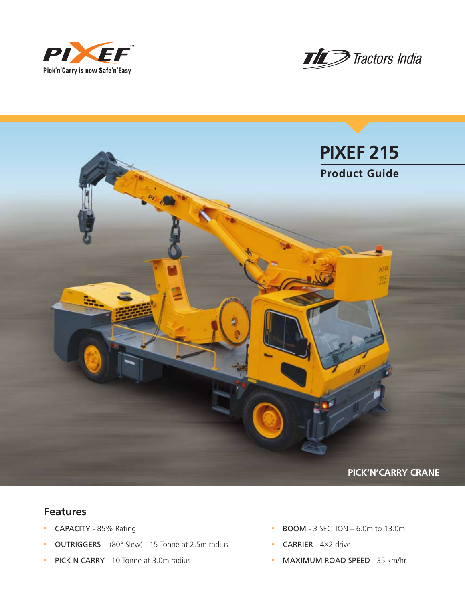





## **Features**

- CAPACITY 85% Rating
- OUTRIGGERS (80° Slew) 15 Tonne at 2.5m radius
- PICK N CARRY 10 Tonne at 3.0m radius
- $\cdot$  BOOM 3 SECTION 6.0m to 13.0m
- CARRIER 4X2 drive
- MAXIMUM ROAD SPEED 35 km/hr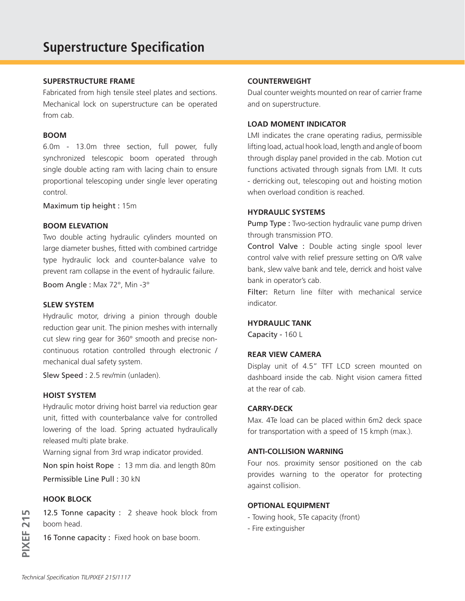#### **SUPERSTRUCTURE FRAME**

Fabricated from high tensile steel plates and sections. Mechanical lock on superstructure can be operated from cab.

#### **BOOM**

6.0m - 13.0m three section, full power, fully synchronized telescopic boom operated through single double acting ram with lacing chain to ensure proportional telescoping under single lever operating control.

Maximum tip height : 15m

## **BOOM ELEVATION**

Two double acting hydraulic cylinders mounted on large diameter bushes, fitted with combined cartridge type hydraulic lock and counter-balance valve to prevent ram collapse in the event of hydraulic failure.

Boom Angle : Max 72°, Min -3°

#### **SLEW SYSTEM**

Hydraulic motor, driving a pinion through double reduction gear unit. The pinion meshes with internally cut slew ring gear for 360° smooth and precise noncontinuous rotation controlled through electronic / mechanical dual safety system.

Slew Speed : 2.5 rev/min (unladen).

### **HOIST SYSTEM**

Hydraulic motor driving hoist barrel via reduction gear unit, fitted with counterbalance valve for controlled lowering of the load. Spring actuated hydraulically released multi plate brake.

Warning signal from 3rd wrap indicator provided.

Non spin hoist Rope : 13 mm dia. and length 80m Permissible Line Pull : 30 kN

### **HOOK BLOCK**

12.5 Tonne capacity : 2 sheave hook block from boom head.

16 Tonne capacity : Fixed hook on base boom.

### **COUNTERWEIGHT**

Dual counter weights mounted on rear of carrier frame and on superstructure.

#### **LOAD MOMENT INDICATOR**

LMI indicates the crane operating radius, permissible lifting load, actual hook load, length and angle of boom through display panel provided in the cab. Motion cut functions activated through signals from LMI. It cuts - derricking out, telescoping out and hoisting motion when overload condition is reached.

## **HYDRAULIC SYSTEMS**

**Pump Type :** Two-section hydraulic vane pump driven through transmission PTO.

Control Valve : Double acting single spool lever control valve with relief pressure setting on O/R valve bank, slew valve bank and tele, derrick and hoist valve bank in operator's cab.

Filter: Return line filter with mechanical service indicator.

#### **HYDRAULIC TANK**

Capacity - 160 L

#### **REAR VIEW CAMERA**

Display unit of 4.5" TFT LCD screen mounted on dashboard inside the cab. Night vision camera fitted at the rear of cab.

## **CARRY-DECK**

Max. 4Te load can be placed within 6m2 deck space for transportation with a speed of 15 kmph (max.).

## **ANTI-COLLISION WARNING**

Four nos. proximity sensor positioned on the cab provides warning to the operator for protecting against collision.

## **OPTIONAL EQUIPMENT**

- Towing hook, 5Te capacity (front)
- Fire extinguisher

**PIXEF 215**

PIXEF<sub>215</sub>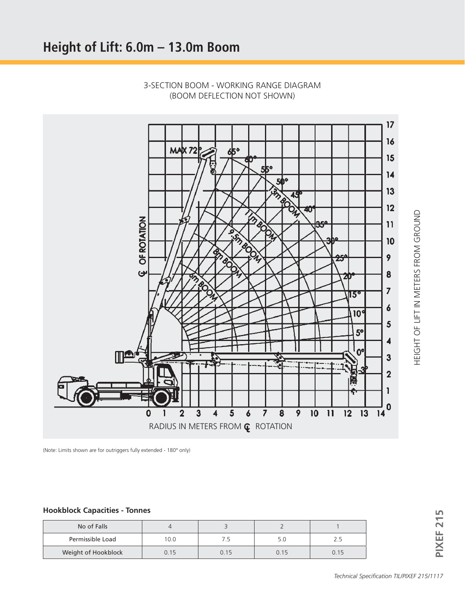

3-SECTION BOOM - WORKING RANGE DIAGRAM (BOOM DEFLECTION NOT SHOWN)

(Note: Limits shown are for outriggers fully extended - 180° only)

### **Hookblock Capacities - Tonnes**

| No of Falls         |      |      |      |      | ட |
|---------------------|------|------|------|------|---|
| Permissible Load    | 10.0 | 7.5  | 5.0  | 2.5  |   |
| Weight of Hookblock | 0.15 | 0.15 | 0.15 | 0.15 |   |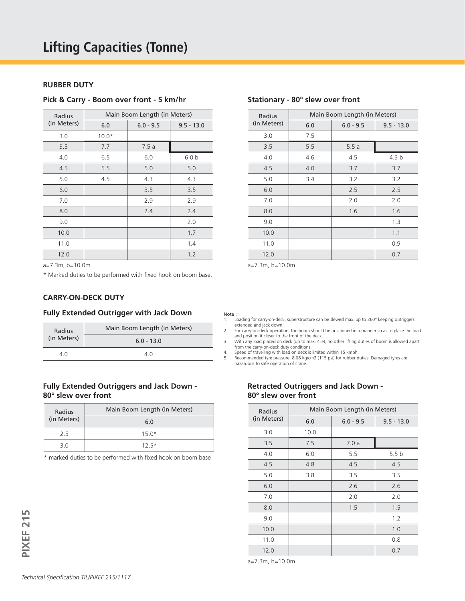#### **RUBBER DUTY**

#### **Pick & Carry - Boom over front - 5 km/hr**

| Radius      | Main Boom Length (in Meters) |             |                  |  |
|-------------|------------------------------|-------------|------------------|--|
| (in Meters) | 6.0                          | $6.0 - 9.5$ | $9.5 - 13.0$     |  |
| 3.0         | $10.0*$                      |             |                  |  |
| 3.5         | 7.7                          | 7.5a        |                  |  |
| 4.0         | 6.5                          | 6.0         | 6.0 <sub>b</sub> |  |
| 4.5         | 5.5                          | 5.0         | 5.0              |  |
| 5.0         | 4.5                          | 4.3         | 4.3              |  |
| 6.0         |                              | 3.5         | 3.5              |  |
| 7.0         |                              | 2.9         | 2.9              |  |
| 8.0         |                              | 2.4         | 2.4              |  |
| 9.0         |                              |             | 2.0              |  |
| 10.0        |                              |             | 1.7              |  |
| 11.0        |                              |             | 1.4              |  |
| 12.0        |                              |             | 1.2              |  |

a=7.3m, b=10.0m

\* Marked duties to be performed with fixed hook on boom base.

#### **CARRY-ON-DECK DUTY**

#### **Fully Extended Outrigger with Jack Down**

| Radius      | Main Boom Length (in Meters) |
|-------------|------------------------------|
| (in Meters) | $6.0 - 13.0$                 |
|             |                              |

#### **Fully Extended Outriggers and Jack Down - 80° slew over front**

| Radius      | Main Boom Length (in Meters) |
|-------------|------------------------------|
| (in Meters) | 6.0                          |
| 25          | $15.0*$                      |
| 3 O         | $12.5*$                      |

\* marked duties to be performed with fixed hook on boom base

| Radius      | Main Boom Length (in Meters) |             |                  |  |
|-------------|------------------------------|-------------|------------------|--|
| (in Meters) | 6.0                          | $6.0 - 9.5$ | $9.5 - 13.0$     |  |
| 3.0         | 7.5                          |             |                  |  |
| 3.5         | 5.5                          | 5.5a        |                  |  |
| 4.0         | 4.6                          | 4.5         | 4.3 <sub>b</sub> |  |
| 4.5         | 4.0                          | 3.7         | 3.7              |  |
| 5.0         | 3.4                          | 3.2         | 3.2              |  |
| 6.0         |                              | 2.5         | 2.5              |  |
| 7.0         |                              | 2.0         | 2.0              |  |
| 8.0         |                              | 1.6         | 1.6              |  |
| 9.0         |                              |             | 1.3              |  |
| 10.0        |                              |             | 1.1              |  |
| 11.0        |                              |             | 0.9              |  |
| 12.0        |                              |             | 0.7              |  |

#### **Stationary - 80° slew over front**

a=7.3m, b=10.0m

Note :

- 1. Loading for carry-on-deck, superstructure can be slewed max. up to 360° keeping outriggers extended and jack down.
- 2. For carry-on-deck operation, the boom should be positioned in a manner so as to place the load and position it closer to the front of the deck.
- 3. With any load placed on deck (up to max. 4Te), no other lifting duties of boom is allowed apart from the carry-on-deck duty conditions. 4. Speed of travelling with load on deck is limited within 15 kmph.

5. Recommended tyre pressure, 8.08 kg/cm2 (115 psi) for rubber duties. Damaged tyres are hazardous to safe operation of crane.

#### **Retracted Outriggers and Jack Down - 80° slew over front**

| Radius      | Main Boom Length (in Meters) |             |                  |  |
|-------------|------------------------------|-------------|------------------|--|
| (in Meters) | 6.0                          | $6.0 - 9.5$ | $9.5 - 13.0$     |  |
| 3.0         | 10.0                         |             |                  |  |
| 3.5         | 7.5                          | 7.0a        |                  |  |
| 4.0         | 6.0                          | 5.5         | 5.5 <sub>b</sub> |  |
| 4.5         | 4.8                          | 4.5         | 4.5              |  |
| 5.0         | 3.8                          | 3.5         | 3.5              |  |
| 6.0         |                              | 2.6         | 2.6              |  |
| 7.0         |                              | 2.0         | 2.0              |  |
| 8.0         |                              | 1.5         | 1.5              |  |
| 9.0         |                              |             | 1.2              |  |
| 10.0        |                              |             | 1.0              |  |
| 11.0        |                              |             | 0.8              |  |
| 12.0        |                              |             | 0.7              |  |

a=7.3m, b=10.0m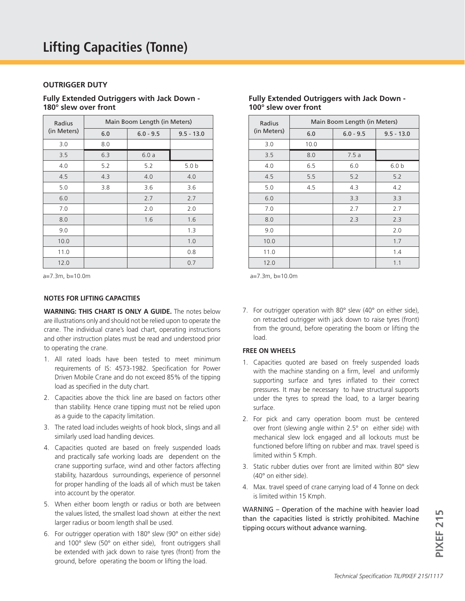#### **OUTRIGGER DUTY**

#### **Fully Extended Outriggers with Jack Down - 180° slew over front**

| Radius      | Main Boom Length (in Meters) |             |                  |  |
|-------------|------------------------------|-------------|------------------|--|
| (in Meters) | 6.0                          | $6.0 - 9.5$ | $9.5 - 13.0$     |  |
| 3.0         | 8.0                          |             |                  |  |
| 3.5         | 6.3                          | 6.0a        |                  |  |
| 4.0         | 5.2                          | 5.2         | 5.0 <sub>b</sub> |  |
| 4.5         | 4.3                          | 4.0         | 4.0              |  |
| 5.0         | 3.8                          | 3.6         | 3.6              |  |
| 6.0         |                              | 2.7         | 2.7              |  |
| 7.0         |                              | 2.0         | 2.0              |  |
| 8.0         |                              | 1.6         | 1.6              |  |
| 9.0         |                              |             | 1.3              |  |
| 10.0        |                              |             | 1.0              |  |
| 11.0        |                              |             | 0.8              |  |
| 12.0        |                              |             | 0.7              |  |

#### **NOTES FOR LIFTING CAPACITIES**

**WARNING: THIS CHART IS ONLY A GUIDE.** The notes below are illustrations only and should not be relied upon to operate the crane. The individual crane's load chart, operating instructions and other instruction plates must be read and understood prior to operating the crane.

- 1. All rated loads have been tested to meet minimum requirements of IS: 4573-1982. Specification for Power Driven Mobile Crane and do not exceed 85% of the tipping load as specified in the duty chart.
- 2. Capacities above the thick line are based on factors other than stability. Hence crane tipping must not be relied upon as a guide to the capacity limitation.
- 3. The rated load includes weights of hook block, slings and all similarly used load handling devices.
- 4. Capacities quoted are based on freely suspended loads and practically safe working loads are dependent on the crane supporting surface, wind and other factors affecting stability, hazardous surroundings, experience of personnel for proper handling of the loads all of which must be taken into account by the operator.
- 5. When either boom length or radius or both are between the values listed, the smallest load shown at either the next larger radius or boom length shall be used.
- 6. For outrigger operation with 180° slew (90° on either side) and 100° slew (50° on either side), front outriggers shall be extended with jack down to raise tyres (front) from the ground, before operating the boom or lifting the load.

| Radius      | Main Boom Length (in Meters) |             |                  |  |
|-------------|------------------------------|-------------|------------------|--|
| (in Meters) | 6.0                          | $6.0 - 9.5$ | $9.5 - 13.0$     |  |
| 3.0         | 10.0                         |             |                  |  |
| 3.5         | 8.0                          | 7.5a        |                  |  |
| 4.0         | 6.5                          | 6.0         | 6.0 <sub>b</sub> |  |
| 4.5         | 5.5                          | 5.2         | 5.2              |  |
| 5.0         | 4.5                          | 4.3         | 4.2              |  |
| 6.0         |                              | 3.3         | 3.3              |  |
| 7.0         |                              | 2.7         | 2.7              |  |
| 8.0         |                              | 2.3         | 2.3              |  |
| 9.0         |                              |             | 2.0              |  |
| 10.0        |                              |             | 1.7              |  |
| 11.0        |                              |             | 1.4              |  |
| 12.0        |                              |             | 1.1              |  |

#### **Fully Extended Outriggers with Jack Down - 100° slew over front**

a=7.3m, b=10.0m a=7.3m, b=10.0m

7. For outrigger operation with 80° slew (40° on either side), on retracted outrigger with jack down to raise tyres (front) from the ground, before operating the boom or lifting the load.

#### **FREE ON WHEELS**

- 1. Capacities quoted are based on freely suspended loads with the machine standing on a firm, level and uniformly supporting surface and tyres inflated to their correct pressures. It may be necessary to have structural supports under the tyres to spread the load, to a larger bearing surface.
- 2. For pick and carry operation boom must be centered over front (slewing angle within 2.5° on either side) with mechanical slew lock engaged and all lockouts must be functioned before lifting on rubber and max. travel speed is limited within 5 Kmph.
- 3. Static rubber duties over front are limited within 80° slew (40° on either side).
- 4. Max. travel speed of crane carrying load of 4 Tonne on deck is limited within 15 Kmph.

*Technical Specification TILIPIXEF 215/1117*<br>*Technical Specification TILIPIXEF 215/1117* WARNING – Operation of the machine with heavier load than the capacities listed is strictly prohibited. Machine tipping occurs without advance warning.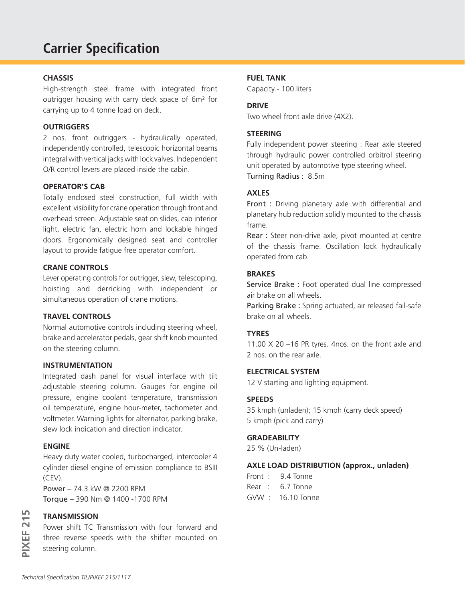# **Carrier Specification**

#### **CHASSIS**

High-strength steel frame with integrated front outrigger housing with carry deck space of 6m² for carrying up to 4 tonne load on deck.

## **OUTRIGGERS**

2 nos. front outriggers - hydraulically operated, independently controlled, telescopic horizontal beams integral with vertical jacks with lock valves. Independent O/R control levers are placed inside the cabin.

#### **OPERATOR'S CAB**

Totally enclosed steel construction, full width with excellent visibility for crane operation through front and overhead screen. Adjustable seat on slides, cab interior light, electric fan, electric horn and lockable hinged doors. Ergonomically designed seat and controller layout to provide fatigue free operator comfort.

#### **CRANE CONTROLS**

Lever operating controls for outrigger, slew, telescoping, hoisting and derricking with independent or simultaneous operation of crane motions.

#### **TRAVEL CONTROLS**

Normal automotive controls including steering wheel, brake and accelerator pedals, gear shift knob mounted on the steering column.

#### **INSTRUMENTATION**

Integrated dash panel for visual interface with tilt adjustable steering column. Gauges for engine oil pressure, engine coolant temperature, transmission oil temperature, engine hour-meter, tachometer and voltmeter. Warning lights for alternator, parking brake, slew lock indication and direction indicator.

### **ENGINE**

Heavy duty water cooled, turbocharged, intercooler 4 cylinder diesel engine of emission compliance to BSIII (CEV).

Power – 74.3 kW @ 2200 RPM Torque – 390 Nm @ 1400 -1700 RPM

## **TRANSMISSION**

**PIXEF 215**

PIXEF<sub>215</sub>

Power shift TC Transmission with four forward and three reverse speeds with the shifter mounted on steering column.

#### **FUEL TANK**

Capacity - 100 liters

#### **DRIVE**

Two wheel front axle drive (4X2).

## **STEERING**

Fully independent power steering : Rear axle steered through hydraulic power controlled orbitrol steering unit operated by automotive type steering wheel. Turning Radius : 8.5m

#### **AXLES**

Front : Driving planetary axle with differential and planetary hub reduction solidly mounted to the chassis frame.

Rear : Steer non-drive axle, pivot mounted at centre of the chassis frame. Oscillation lock hydraulically operated from cab.

#### **BRAKES**

Service Brake : Foot operated dual line compressed air brake on all wheels.

Parking Brake : Spring actuated, air released fail-safe brake on all wheels.

## **TYRES**

11.00 X 20 –16 PR tyres. 4nos. on the front axle and 2 nos. on the rear axle.

#### **ELECTRICAL SYSTEM**

12 V starting and lighting equipment.

#### **SPEEDS**

35 kmph (unladen); 15 kmph (carry deck speed) 5 kmph (pick and carry)

#### **GRADEABILITY**

25 % (Un-laden)

#### **AXLE LOAD DISTRIBUTION (approx., unladen)**

- Front : 9.4 Tonne
- Rear : 6.7 Tonne
- GVW : 16.10 Tonne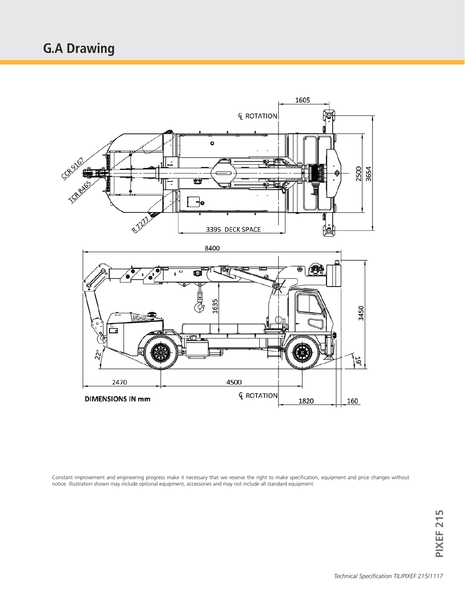

Constant improvement and engineering progress make it necessary that we reserve the right to make specification, equipment and price changes without notice. Illustration shown may include optional equipment, accessories and may not include all standard equipment.